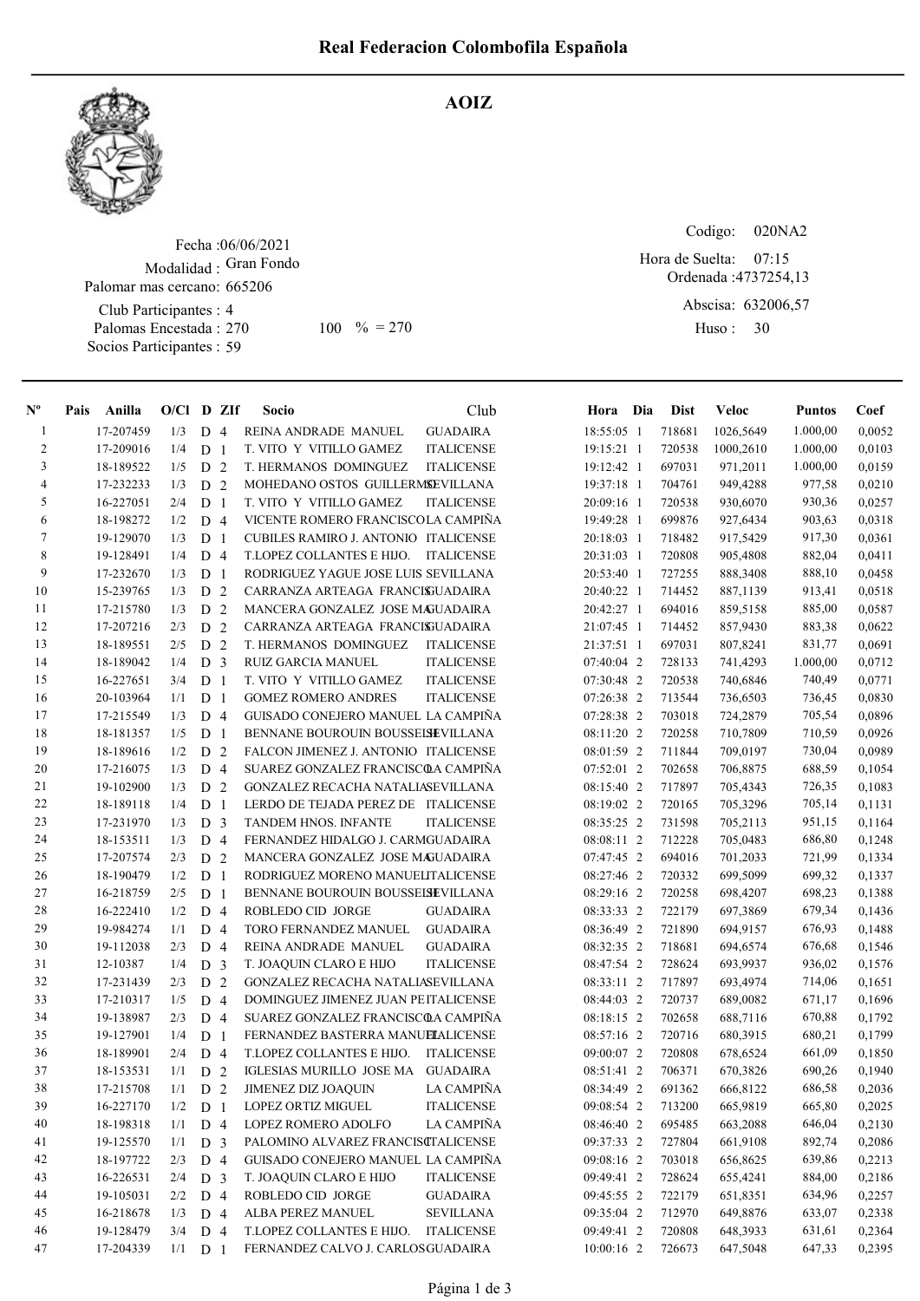AOIZ



Fecha : 06/06/2021 Modalidad : Gran Fondo Palomar mas cercano: 665206

Club Participantes : 4 Palomas Encestada : Socios Participantes : 59

100 % = 270 30

Codigo: 020NA2

Ordenada : 4737254,13 Abscisa: 632006,57 07:15 Hora de Suelta:

Huso: 30

| $N^{\circ}$    | Pais | Anilla    | $O/Cl$ D ZIf |                |                | <b>Socio</b>                             | Club              | Hora Dia          | Dist   | Veloc     | <b>Puntos</b> | Coef   |
|----------------|------|-----------|--------------|----------------|----------------|------------------------------------------|-------------------|-------------------|--------|-----------|---------------|--------|
| $\mathbf{1}$   |      | 17-207459 | 1/3          | D <sub>4</sub> |                | REINA ANDRADE MANUEL                     | <b>GUADAIRA</b>   | 18:55:05 1        | 718681 | 1026,5649 | 1.000,00      | 0,0052 |
| $\overline{2}$ |      | 17-209016 | 1/4          | D <sub>1</sub> |                | T. VITO Y VITILLO GAMEZ                  | <b>ITALICENSE</b> | 19:15:21 1        | 720538 | 1000,2610 | 1.000,00      | 0,0103 |
| 3              |      | 18-189522 | 1/5          | D <sub>2</sub> |                | T. HERMANOS DOMINGUEZ                    | <b>ITALICENSE</b> | 19:12:42 1        | 697031 | 971,2011  | 1.000,00      | 0,0159 |
| 4              |      | 17-232233 | 1/3          | D <sub>2</sub> |                | MOHEDANO OSTOS GUILLERMSEVILLANA         |                   | 19:37:18 1        | 704761 | 949,4288  | 977,58        | 0,0210 |
| 5              |      | 16-227051 | 2/4          | D              | $\overline{1}$ | T. VITO Y VITILLO GAMEZ                  | <b>ITALICENSE</b> | 20:09:16 1        | 720538 | 930.6070  | 930,36        | 0,0257 |
| 6              |      | 18-198272 | 1/2          | D <sub>4</sub> |                | VICENTE ROMERO FRANCISCOLA CAMPIÑA       |                   | 19:49:28 1        | 699876 | 927,6434  | 903,63        | 0,0318 |
| 7              |      | 19-129070 | 1/3          | D <sub>1</sub> |                | CUBILES RAMIRO J. ANTONIO ITALICENSE     |                   | 20:18:03 1        | 718482 | 917,5429  | 917,30        | 0,0361 |
| $\,8\,$        |      | 19-128491 | 1/4          | D <sub>4</sub> |                | T.LOPEZ COLLANTES E HIJO.                | <b>ITALICENSE</b> | 20:31:03 1        | 720808 | 905,4808  | 882,04        | 0,0411 |
| 9              |      | 17-232670 | 1/3          | D <sub>1</sub> |                | RODRIGUEZ YAGUE JOSE LUIS SEVILLANA      |                   | 20:53:40 1        | 727255 | 888,3408  | 888,10        | 0,0458 |
| 10             |      | 15-239765 | 1/3          | D <sub>2</sub> |                | CARRANZA ARTEAGA FRANCISUADAIRA          |                   | 20:40:22 1        | 714452 | 887,1139  | 913,41        | 0,0518 |
| 11             |      | 17-215780 | 1/3          | D <sub>2</sub> |                | MANCERA GONZALEZ JOSE MAGUADAIRA         |                   | 20:42:27 1        | 694016 | 859,5158  | 885,00        | 0,0587 |
| 12             |      | 17-207216 | 2/3          | D <sub>2</sub> |                | CARRANZA ARTEAGA FRANCISUADAIRA          |                   | 21:07:45 1        | 714452 | 857,9430  | 883,38        | 0,0622 |
| 13             |      | 18-189551 | 2/5          | D <sub>2</sub> |                | T. HERMANOS DOMINGUEZ                    | <b>ITALICENSE</b> | 21:37:51 1        | 697031 | 807,8241  | 831,77        | 0,0691 |
| 14             |      | 18-189042 | 1/4          | D <sub>3</sub> |                | RUIZ GARCIA MANUEL                       | <b>ITALICENSE</b> | 07:40:04 2        | 728133 | 741,4293  | 1.000,00      | 0,0712 |
| 15             |      | 16-227651 | 3/4          | D <sub>1</sub> |                | T. VITO Y VITILLO GAMEZ                  | <b>ITALICENSE</b> | 07:30:48 2        | 720538 | 740,6846  | 740,49        | 0,0771 |
| 16             |      | 20-103964 | 1/1          | D <sub>1</sub> |                | <b>GOMEZ ROMERO ANDRES</b>               | <b>ITALICENSE</b> | 07:26:38 2        | 713544 | 736,6503  | 736,45        | 0,0830 |
| 17             |      | 17-215549 | 1/3          | D <sub>4</sub> |                | GUISADO CONEJERO MANUEL LA CAMPIÑA       |                   | 07:28:38 2        | 703018 | 724,2879  | 705,54        | 0,0896 |
| 18             |      | 18-181357 | 1/5          | D <sub>1</sub> |                | BENNANE BOUROUIN BOUSSEISEVILLANA        |                   | 08:11:20 2        | 720258 | 710,7809  | 710,59        | 0,0926 |
| 19             |      | 18-189616 | 1/2          | D <sub>2</sub> |                | FALCON JIMENEZ J. ANTONIO ITALICENSE     |                   | 08:01:59 2        | 711844 | 709,0197  | 730,04        | 0,0989 |
| 20             |      | 17-216075 | 1/3          | D <sub>4</sub> |                | SUAREZ GONZALEZ FRANCISCOA CAMPIÑA       |                   | 07:52:01 2        | 702658 | 706,8875  | 688,59        | 0,1054 |
| 21             |      | 19-102900 | 1/3          | D <sub>2</sub> |                | <b>GONZALEZ RECACHA NATALIASEVILLANA</b> |                   | 08:15:40 2        | 717897 | 705,4343  | 726,35        | 0,1083 |
| 22             |      | 18-189118 | 1/4          | D <sub>1</sub> |                | LERDO DE TEJADA PEREZ DE ITALICENSE      |                   | 08:19:02 2        | 720165 | 705,3296  | 705,14        | 0,1131 |
| 23             |      | 17-231970 | 1/3          | D <sub>3</sub> |                | TANDEM HNOS. INFANTE                     | <b>ITALICENSE</b> | 08:35:25 2        | 731598 | 705,2113  | 951,15        | 0,1164 |
| 24             |      | 18-153511 | 1/3          | D <sub>4</sub> |                | FERNANDEZ HIDALGO J. CARMGUADAIRA        |                   | 08:08:11 2        | 712228 | 705,0483  | 686,80        | 0,1248 |
| 25             |      | 17-207574 | 2/3          | D <sub>2</sub> |                | MANCERA GONZALEZ JOSE MAGUADAIRA         |                   | 07:47:45 2        | 694016 | 701,2033  | 721,99        | 0,1334 |
| 26             |      | 18-190479 | 1/2          | D <sub>1</sub> |                | RODRIGUEZ MORENO MANUELITALICENSE        |                   | 08:27:46 2        | 720332 | 699,5099  | 699,32        | 0,1337 |
| 27             |      | 16-218759 | 2/5          | D <sub>1</sub> |                | BENNANE BOUROUIN BOUSSEISEVILLANA        |                   | 08:29:16 2        | 720258 | 698,4207  | 698,23        | 0,1388 |
| 28             |      | 16-222410 | 1/2          | D <sub>4</sub> |                | ROBLEDO CID JORGE                        | <b>GUADAIRA</b>   | 08:33:33 2        | 722179 | 697,3869  | 679,34        | 0,1436 |
| 29             |      | 19-984274 | 1/1          | D <sub>4</sub> |                | TORO FERNANDEZ MANUEL                    | <b>GUADAIRA</b>   | 08:36:49 2        | 721890 | 694,9157  | 676,93        | 0,1488 |
| 30             |      | 19-112038 | 2/3          | D <sub>4</sub> |                | REINA ANDRADE MANUEL                     | <b>GUADAIRA</b>   | 08:32:35 2        | 718681 | 694,6574  | 676,68        | 0,1546 |
| 31             |      | 12-10387  | 1/4          | D <sub>3</sub> |                | T. JOAQUIN CLARO E HIJO                  | <b>ITALICENSE</b> | 08:47:54 2        | 728624 | 693,9937  | 936,02        | 0,1576 |
| 32             |      | 17-231439 | 2/3          | D <sub>2</sub> |                | GONZALEZ RECACHA NATALIASEVILLANA        |                   | 08:33:11 2        | 717897 | 693,4974  | 714,06        | 0,1651 |
| 33             |      | 17-210317 | 1/5          | D <sub>4</sub> |                | DOMINGUEZ JIMENEZ JUAN PEITALICENSE      |                   | 08:44:03 2        | 720737 | 689,0082  | 671,17        | 0,1696 |
| 34             |      | 19-138987 | 2/3          | D 4            |                | SUAREZ GONZALEZ FRANCISCOA CAMPINA       |                   | 08:18:15 2        | 702658 | 688,7116  | 670,88        | 0,1792 |
| 35             |      | 19-127901 | 1/4          | D              | -1             | FERNANDEZ BASTERRA MANUELALICENSE        |                   | 08:57:16 2        | 720716 | 680,3915  | 680,21        | 0,1799 |
| 36             |      | 18-189901 | 2/4          | D <sub>4</sub> |                | T.LOPEZ COLLANTES E HIJO.                | <b>ITALICENSE</b> | 09:00:07 2        | 720808 | 678,6524  | 661,09        | 0,1850 |
| 37             |      | 18-153531 | $1/1$ D 2    |                |                | IGLESIAS MURILLO JOSE MA GUADAIRA        |                   | 08:51:41 2        | 706371 | 670,3826  | 690,26        | 0,1940 |
| 38             |      | 17-215708 |              |                |                | 1/1 D 2 JIMENEZ DIZ JOAQUIN LA CAMPIÑA   |                   | 08:34:49 2 691362 |        | 666,8122  | 686,58        | 0,2036 |
| 39             |      | 16-227170 | 1/2          | D <sub>1</sub> |                | LOPEZ ORTIZ MIGUEL                       | <b>ITALICENSE</b> | 09:08:54 2        | 713200 | 665,9819  | 665,80        | 0,2025 |
| 40             |      | 18-198318 | 1/1          | D 4            |                | LOPEZ ROMERO ADOLFO                      | LA CAMPIÑA        | 08:46:40 2        | 695485 | 663,2088  | 646,04        | 0,2130 |
| 41             |      | 19-125570 | 1/1          | D <sub>3</sub> |                | PALOMINO ALVAREZ FRANCISCTALICENSE       |                   | 09:37:33 2        | 727804 | 661,9108  | 892,74        | 0,2086 |
| 42             |      | 18-197722 | 2/3          | D 4            |                | GUISADO CONEJERO MANUEL LA CAMPIÑA       |                   | 09:08:16 2        | 703018 | 656,8625  | 639,86        | 0,2213 |
| 43             |      | 16-226531 | 2/4          | D <sub>3</sub> |                | T. JOAQUIN CLARO E HIJO                  | <b>ITALICENSE</b> | 09:49:41 2        | 728624 | 655,4241  | 884,00        | 0,2186 |
| 44             |      | 19-105031 | 2/2          | D 4            |                | ROBLEDO CID JORGE                        | <b>GUADAIRA</b>   | 09:45:55 2        | 722179 | 651,8351  | 634,96        | 0,2257 |
| 45             |      | 16-218678 | 1/3          | D <sub>4</sub> |                | ALBA PEREZ MANUEL                        | <b>SEVILLANA</b>  | 09:35:04 2        | 712970 | 649,8876  | 633,07        | 0,2338 |
| 46             |      | 19-128479 | 3/4          | D 4            |                | T.LOPEZ COLLANTES E HIJO.                | <b>ITALICENSE</b> | 09:49:41 2        | 720808 | 648,3933  | 631,61        | 0,2364 |
| 47             |      | 17-204339 | 1/1          | D 1            |                | FERNANDEZ CALVO J. CARLOSGUADAIRA        |                   | 10:00:16 2        | 726673 | 647,5048  | 647,33        | 0,2395 |
|                |      |           |              |                |                |                                          |                   |                   |        |           |               |        |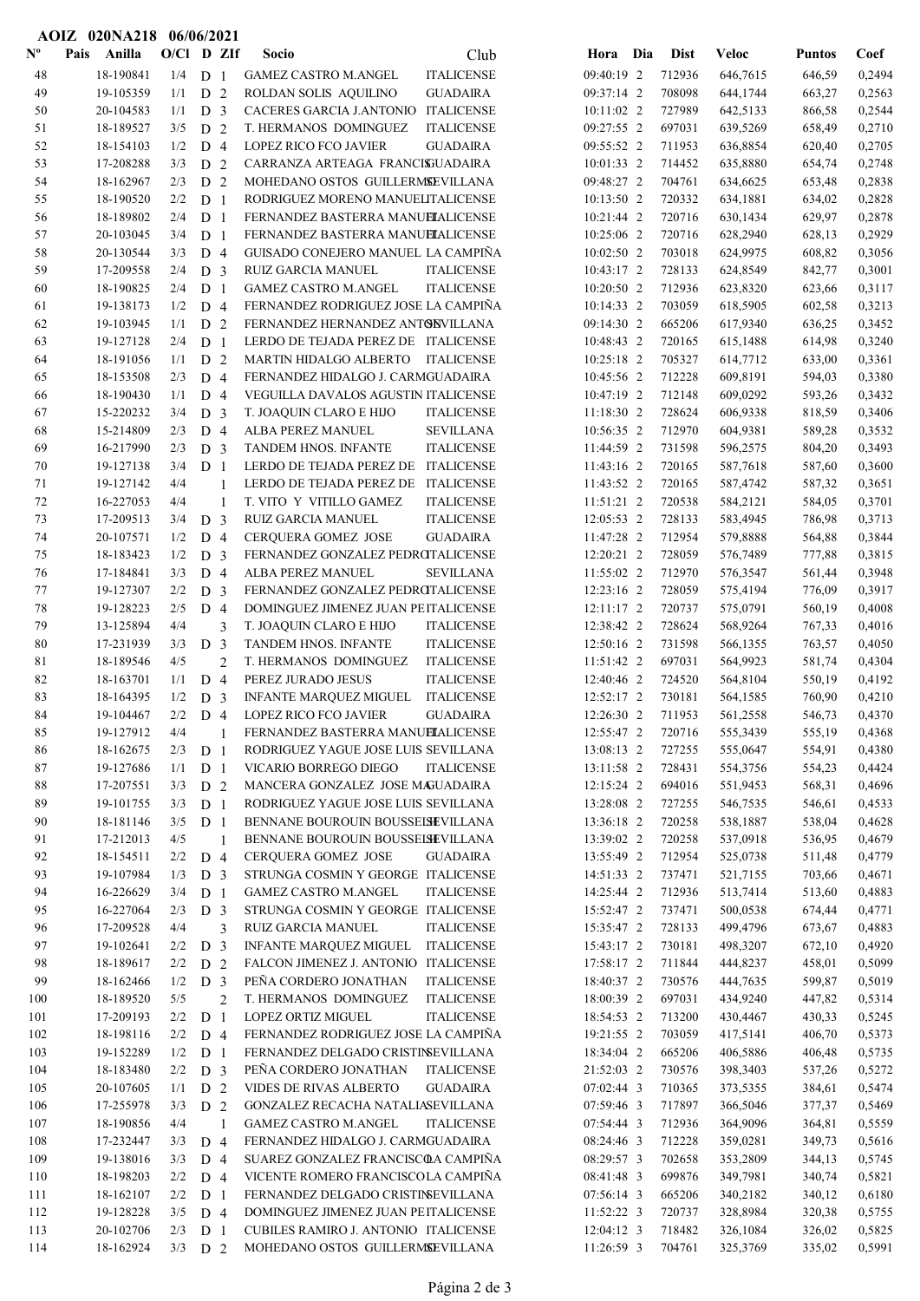|                           | AOIZ 020NA218 06/06/2021 |              |                                  |                |                                                                                               |                          |                  |                      |                  |                  |
|---------------------------|--------------------------|--------------|----------------------------------|----------------|-----------------------------------------------------------------------------------------------|--------------------------|------------------|----------------------|------------------|------------------|
| $\mathbf{N}^{\mathbf{o}}$ | Pais<br>Anilla           | $O/CI$ D ZIf |                                  |                | Club<br>Socio                                                                                 | Hora Dia                 | Dist             | Veloc                | <b>Puntos</b>    | Coef             |
| 48                        | 18-190841                | 1/4          | D <sub>1</sub>                   |                | <b>GAMEZ CASTRO M.ANGEL</b><br><b>ITALICENSE</b>                                              | 09:40:19 2               | 712936           | 646,7615             | 646,59           | 0,2494           |
| 49                        | 19-105359                | 1/1          | D <sub>2</sub>                   |                | ROLDAN SOLIS AQUILINO<br><b>GUADAIRA</b>                                                      | 09:37:14 2               | 708098           | 644,1744             | 663,27           | 0,2563           |
| 50                        | 20-104583                | 1/1          | D <sub>3</sub>                   |                | CACERES GARCIA J.ANTONIO ITALICENSE                                                           | 10:11:02 2               | 727989           | 642,5133             | 866,58           | 0,2544           |
| 51                        | 18-189527                | 3/5          | D <sub>2</sub>                   |                | T. HERMANOS DOMINGUEZ<br><b>ITALICENSE</b>                                                    | 09:27:55 2               | 697031           | 639,5269             | 658,49           | 0,2710           |
| 52                        | 18-154103                | 1/2          | D <sub>4</sub>                   |                | <b>LOPEZ RICO FCO JAVIER</b><br><b>GUADAIRA</b>                                               | 09:55:52 2               | 711953           | 636,8854             | 620,40           | 0,2705           |
| 53                        | 17-208288                | 3/3          | D <sub>2</sub>                   |                | CARRANZA ARTEAGA FRANCISJUADAIRA                                                              | 10:01:33 2               | 714452           | 635,8880             | 654,74           | 0,2748           |
| 54                        | 18-162967                | 2/3          | D <sub>2</sub>                   |                | MOHEDANO OSTOS GUILLERMSEVILLANA                                                              | 09:48:27 2               | 704761           | 634,6625             | 653,48           | 0,2838           |
| 55                        | 18-190520                | 2/2          | D <sub>1</sub>                   |                | RODRIGUEZ MORENO MANUELITALICENSE                                                             | 10:13:50 2               | 720332           | 634,1881             | 634,02           | 0,2828           |
| 56                        | 18-189802                | 2/4          | D <sub>1</sub>                   |                | FERNANDEZ BASTERRA MANUELALICENSE                                                             | 10:21:44 2               | 720716           | 630,1434             | 629,97           | 0,2878           |
| 57                        | 20-103045                | 3/4          | D <sub>1</sub>                   |                | FERNANDEZ BASTERRA MANUELALICENSE<br>GUISADO CONEJERO MANUEL LA CAMPIÑA                       | 10:25:06 2               | 720716           | 628,2940             | 628,13           | 0,2929           |
| 58<br>59                  | 20-130544<br>17-209558   | 3/3<br>2/4   | D <sub>4</sub><br>D <sub>3</sub> |                | <b>RUIZ GARCIA MANUEL</b><br><b>ITALICENSE</b>                                                | 10:02:50 2<br>10:43:17 2 | 703018<br>728133 | 624,9975<br>624,8549 | 608,82<br>842,77 | 0,3056<br>0,3001 |
| 60                        | 18-190825                | 2/4          | D <sub>1</sub>                   |                | <b>GAMEZ CASTRO M.ANGEL</b><br><b>ITALICENSE</b>                                              | 10:20:50 2               | 712936           | 623,8320             | 623,66           | 0,3117           |
| 61                        | 19-138173                | 1/2          | D <sub>4</sub>                   |                | FERNANDEZ RODRIGUEZ JOSE LA CAMPIÑA                                                           | 10:14:33 2               | 703059           | 618,5905             | 602,58           | 0,3213           |
| 62                        | 19-103945                | 1/1          | D <sub>2</sub>                   |                | FERNANDEZ HERNANDEZ ANTONVILLANA                                                              | 09:14:30 2               | 665206           | 617,9340             | 636,25           | 0,3452           |
| 63                        | 19-127128                | 2/4          | D <sub>1</sub>                   |                | LERDO DE TEJADA PEREZ DE ITALICENSE                                                           | 10:48:43 2               | 720165           | 615,1488             | 614,98           | 0,3240           |
| 64                        | 18-191056                | 1/1          | D <sub>2</sub>                   |                | MARTIN HIDALGO ALBERTO ITALICENSE                                                             | 10:25:18 2               | 705327           | 614,7712             | 633,00           | 0,3361           |
| 65                        | 18-153508                | 2/3          | D <sub>4</sub>                   |                | FERNANDEZ HIDALGO J. CARMGUADAIRA                                                             | 10:45:56 2               | 712228           | 609,8191             | 594,03           | 0,3380           |
| 66                        | 18-190430                | 1/1          | D <sub>4</sub>                   |                | VEGUILLA DAVALOS AGUSTIN ITALICENSE                                                           | 10:47:19 2               | 712148           | 609,0292             | 593,26           | 0,3432           |
| 67                        | 15-220232                | 3/4          | D <sub>3</sub>                   |                | T. JOAQUIN CLARO E HIJO<br><b>ITALICENSE</b>                                                  | 11:18:30 2               | 728624           | 606,9338             | 818,59           | 0,3406           |
| 68                        | 15-214809                | 2/3          | D <sub>4</sub>                   |                | <b>SEVILLANA</b><br>ALBA PEREZ MANUEL                                                         | 10:56:35 2               | 712970           | 604,9381             | 589,28           | 0,3532           |
| 69                        | 16-217990                | 2/3          | D <sub>3</sub>                   |                | TANDEM HNOS. INFANTE<br><b>ITALICENSE</b>                                                     | 11:44:59 2               | 731598           | 596,2575             | 804,20           | 0,3493           |
| 70                        | 19-127138                | 3/4          | D <sub>1</sub>                   |                | LERDO DE TEJADA PEREZ DE ITALICENSE                                                           | 11:43:16 2               | 720165           | 587,7618             | 587,60           | 0,3600           |
| 71                        | 19-127142                | 4/4          |                                  | 1              | LERDO DE TEJADA PEREZ DE ITALICENSE                                                           | 11:43:52 2               | 720165           | 587,4742             | 587,32           | 0,3651           |
| 72                        | 16-227053                | 4/4          |                                  | 1              | T. VITO Y VITILLO GAMEZ<br><b>ITALICENSE</b>                                                  | 11:51:21 2               | 720538           | 584,2121             | 584,05           | 0,3701           |
| 73                        | 17-209513                | 3/4          | D <sub>3</sub>                   |                | RUIZ GARCIA MANUEL<br><b>ITALICENSE</b>                                                       | 12:05:53 2               | 728133           | 583,4945             | 786,98           | 0,3713           |
| 74                        | 20-107571                | 1/2          | D <sub>4</sub>                   |                | <b>GUADAIRA</b><br>CERQUERA GOMEZ JOSE                                                        | 11:47:28 2               | 712954           | 579,8888             | 564,88           | 0,3844           |
| 75                        | 18-183423                | 1/2          | D <sub>3</sub>                   |                | FERNANDEZ GONZALEZ PEDROTALICENSE                                                             | 12:20:21 2               | 728059           | 576,7489             | 777,88           | 0,3815           |
| 76                        | 17-184841                | 3/3          | D <sub>4</sub>                   |                | ALBA PEREZ MANUEL<br><b>SEVILLANA</b>                                                         | 11:55:02 2               | 712970           | 576,3547             | 561,44           | 0,3948           |
| 77                        | 19-127307                | 2/2          | D <sub>3</sub>                   |                | FERNANDEZ GONZALEZ PEDROTALICENSE                                                             | 12:23:16 2               | 728059           | 575,4194             | 776,09           | 0,3917           |
| 78                        | 19-128223                | 2/5          | D <sub>4</sub>                   |                | DOMINGUEZ JIMENEZ JUAN PEITALICENSE                                                           | 12:11:17 2               | 720737           | 575,0791             | 560,19           | 0,4008           |
| 79<br>80                  | 13-125894<br>17-231939   | 4/4<br>3/3   | D <sub>3</sub>                   | 3              | T. JOAQUIN CLARO E HIJO<br><b>ITALICENSE</b><br>TANDEM HNOS. INFANTE<br><b>ITALICENSE</b>     | 12:38:42 2<br>12:50:16 2 | 728624<br>731598 | 568,9264<br>566,1355 | 767,33<br>763,57 | 0,4016<br>0,4050 |
| 81                        | 18-189546                | 4/5          |                                  | $\overline{c}$ | T. HERMANOS DOMINGUEZ<br><b>ITALICENSE</b>                                                    | 11:51:42 2               | 697031           | 564,9923             | 581,74           | 0,4304           |
| 82                        | 18-163701                | 1/1          | D <sub>4</sub>                   |                | PEREZ JURADO JESUS<br><b>ITALICENSE</b>                                                       | 12:40:46 2               | 724520           | 564,8104             | 550,19           | 0,4192           |
| 83                        | 18-164395                | 1/2          | D <sub>3</sub>                   |                | <b>INFANTE MARQUEZ MIGUEL</b><br><b>ITALICENSE</b>                                            | 12:52:17 2               | 730181           | 564,1585             | 760,90           | 0,4210           |
| 84                        | 19-104467                | 2/2          | D <sub>4</sub>                   |                | <b>LOPEZ RICO FCO JAVIER</b><br><b>GUADAIRA</b>                                               | 12:26:30 2               | 711953           | 561,2558             | 546,73           | 0,4370           |
| 85                        | 19-127912                | 4/4          |                                  | 1              | FERNANDEZ BASTERRA MANUELALICENSE                                                             | 12:55:47 2               | 720716           | 555,3439             | 555,19           | 0,4368           |
| 86                        | 18-162675                | 2/3          | D <sub>1</sub>                   |                | RODRIGUEZ YAGUE JOSE LUIS SEVILLANA                                                           | 13:08:13 2               | 727255           | 555,0647             | 554,91           | 0,4380           |
| 87                        | 19-127686                | 1/1          | D <sub>1</sub>                   |                | VICARIO BORREGO DIEGO<br><b>ITALICENSE</b>                                                    | 13:11:58 2               | 728431           | 554,3756             | 554,23           | 0,4424           |
| 88                        | 17-207551                | 3/3          | D <sub>2</sub>                   |                | MANCERA GONZALEZ JOSE MAGUADAIRA                                                              | 12:15:24 2               | 694016           | 551,9453             | 568,31           | 0,4696           |
| 89                        | 19-101755                | 3/3          | D <sub>1</sub>                   |                | RODRIGUEZ YAGUE JOSE LUIS SEVILLANA                                                           | 13:28:08 2               | 727255           | 546,7535             | 546,61           | 0,4533           |
| 90                        | 18-181146                | 3/5          | D <sub>1</sub>                   |                | BENNANE BOUROUIN BOUSSEISEVILLANA                                                             | 13:36:18 2               | 720258           | 538,1887             | 538,04           | 0,4628           |
| 91                        | 17-212013                | 4/5          |                                  | 1              | BENNANE BOUROUIN BOUSSEISEVILLANA                                                             | 13:39:02 2               | 720258           | 537,0918             | 536,95           | 0,4679           |
| 92                        | 18-154511                | 2/2          | D <sub>4</sub>                   |                | CERQUERA GOMEZ JOSE<br><b>GUADAIRA</b>                                                        | 13:55:49 2               | 712954           | 525,0738             | 511,48           | 0,4779           |
| 93                        | 19-107984                | 1/3          | D <sub>3</sub>                   |                | STRUNGA COSMIN Y GEORGE ITALICENSE                                                            | 14:51:33 2               | 737471           | 521,7155             | 703,66           | 0,4671           |
| 94                        | 16-226629                | 3/4          | D <sub>1</sub>                   |                | <b>GAMEZ CASTRO M.ANGEL</b><br><b>ITALICENSE</b>                                              | 14:25:44 2               | 712936           | 513,7414             | 513,60           | 0,4883           |
| 95                        | 16-227064                | 2/3          | D <sub>3</sub>                   |                | STRUNGA COSMIN Y GEORGE ITALICENSE                                                            | 15:52:47 2               | 737471           | 500,0538             | 674,44           | 0,4771           |
| 96<br>97                  | 17-209528<br>19-102641   | 4/4<br>2/2   | D <sub>3</sub>                   | 3              | <b>RUIZ GARCIA MANUEL</b><br><b>ITALICENSE</b><br>INFANTE MARQUEZ MIGUEL<br><b>ITALICENSE</b> | 15:35:47 2<br>15:43:17 2 | 728133<br>730181 | 499,4796<br>498,3207 | 673,67<br>672,10 | 0,4883<br>0,4920 |
| 98                        | 18-189617                | 2/2          | D <sub>2</sub>                   |                | FALCON JIMENEZ J. ANTONIO ITALICENSE                                                          | 17:58:17 2               | 711844           | 444,8237             | 458,01           | 0,5099           |
| 99                        | 18-162466                | 1/2          | D <sub>3</sub>                   |                | PEÑA CORDERO JONATHAN<br><b>ITALICENSE</b>                                                    | 18:40:37 2               | 730576           | 444,7635             | 599,87           | 0,5019           |
| 100                       | 18-189520                | 5/5          |                                  | $\overline{2}$ | T. HERMANOS DOMINGUEZ<br><b>ITALICENSE</b>                                                    | 18:00:39 2               | 697031           | 434,9240             | 447,82           | 0,5314           |
| 101                       | 17-209193                | 2/2          | D <sub>1</sub>                   |                | LOPEZ ORTIZ MIGUEL<br><b>ITALICENSE</b>                                                       | 18:54:53 2               | 713200           | 430,4467             | 430,33           | 0,5245           |
| 102                       | 18-198116                | 2/2          | D <sub>4</sub>                   |                | FERNANDEZ RODRIGUEZ JOSE LA CAMPIÑA                                                           | 19:21:55 2               | 703059           | 417,5141             | 406,70           | 0,5373           |
| 103                       | 19-152289                | 1/2          | D <sub>1</sub>                   |                | FERNANDEZ DELGADO CRISTINSEVILLANA                                                            | 18:34:04 2               | 665206           | 406,5886             | 406,48           | 0,5735           |
| 104                       | 18-183480                | 2/2          | D <sub>3</sub>                   |                | PEÑA CORDERO JONATHAN<br><b>ITALICENSE</b>                                                    | 21:52:03 2               | 730576           | 398,3403             | 537,26           | 0,5272           |
| 105                       | 20-107605                | 1/1          | D 2                              |                | VIDES DE RIVAS ALBERTO<br><b>GUADAIRA</b>                                                     | 07:02:44 3               | 710365           | 373,5355             | 384,61           | 0,5474           |
| 106                       | 17-255978                | 3/3          | D <sub>2</sub>                   |                | GONZALEZ RECACHA NATALIASEVILLANA                                                             | 07:59:46 3               | 717897           | 366,5046             | 377,37           | 0,5469           |
| 107                       | 18-190856                | 4/4          |                                  | -1             | <b>GAMEZ CASTRO M.ANGEL</b><br><b>ITALICENSE</b>                                              | 07:54:44 3               | 712936           | 364,9096             | 364,81           | 0,5559           |
| 108                       | 17-232447                | 3/3          | D <sub>4</sub>                   |                | FERNANDEZ HIDALGO J. CARMGUADAIRA                                                             | 08:24:46 3               | 712228           | 359,0281             | 349,73           | 0,5616           |
| 109                       | 19-138016                | 3/3          | D <sub>4</sub>                   |                | SUAREZ GONZALEZ FRANCISCOA CAMPIÑA                                                            | 08:29:57 3               | 702658           | 353,2809             | 344,13           | 0,5745           |
| 110                       | 18-198203                | 2/2          | D 4                              |                | VICENTE ROMERO FRANCISCOLA CAMPIÑA                                                            | 08:41:48 3               | 699876           | 349,7981             | 340,74           | 0,5821           |
| 111                       | 18-162107                | 2/2          | D <sub>1</sub>                   |                | FERNANDEZ DELGADO CRISTINSEVILLANA                                                            | 07:56:14 3               | 665206           | 340,2182             | 340,12           | 0,6180           |
| 112                       | 19-128228                | 3/5          | D <sub>4</sub>                   |                | DOMINGUEZ JIMENEZ JUAN PEITALICENSE                                                           | 11:52:22 3               | 720737           | 328,8984             | 320,38           | 0,5755           |
| 113                       | 20-102706                | 2/3          | D <sub>1</sub>                   |                | CUBILES RAMIRO J. ANTONIO ITALICENSE                                                          | 12:04:12 3               | 718482           | 326,1084             | 326,02           | 0,5825           |
| 114                       | 18-162924                | $3/3$ D 2    |                                  |                | MOHEDANO OSTOS GUILLERMSEVILLANA                                                              | 11:26:59 3               | 704761           | 325,3769             | 335,02           | 0,5991           |